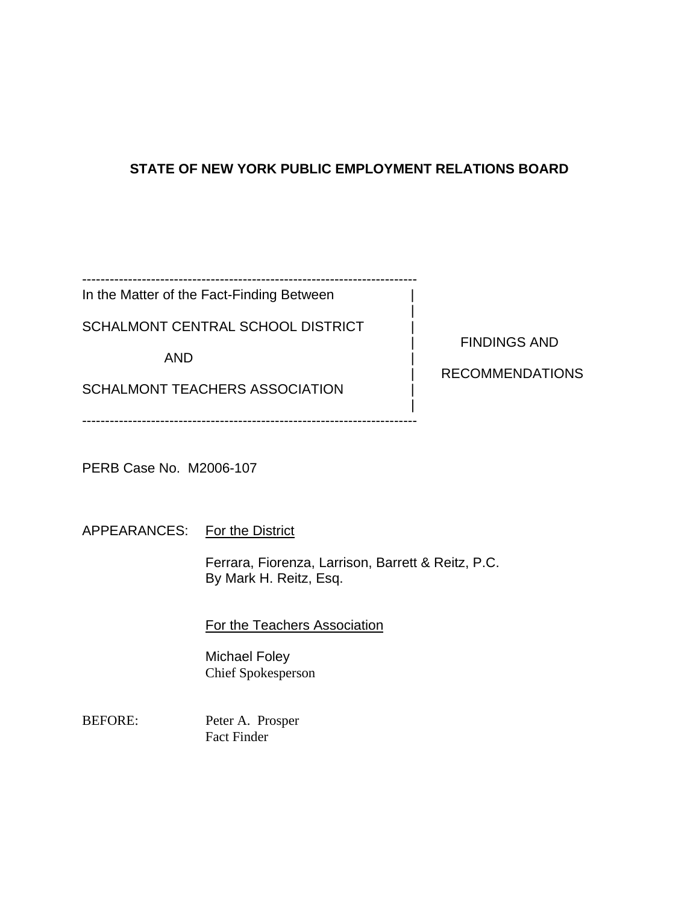# **STATE OF NEW YORK PUBLIC EMPLOYMENT RELATIONS BOARD**

|

------------------------------------------------------------------------- In the Matter of the Fact-Finding Between

SCHALMONT CENTRAL SCHOOL DISTRICT

AND |

SCHALMONT TEACHERS ASSOCIATION

| FINDINGS AND

| RECOMMENDATIONS

 | -------------------------------------------------------------------------

PERB Case No. M2006-107

APPEARANCES: For the District

Ferrara, Fiorenza, Larrison, Barrett & Reitz, P.C. By Mark H. Reitz, Esq.

# For the Teachers Association

Michael Foley Chief Spokesperson

BEFORE: Peter A. Prosper Fact Finder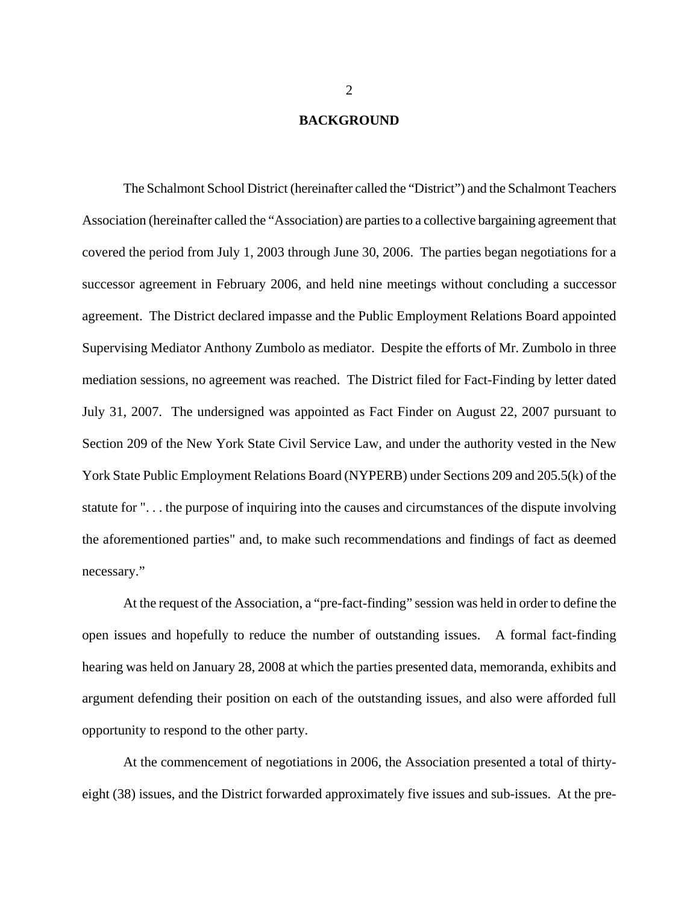### **BACKGROUND**

The Schalmont School District (hereinafter called the "District") and the Schalmont Teachers Association (hereinafter called the "Association) are parties to a collective bargaining agreement that covered the period from July 1, 2003 through June 30, 2006. The parties began negotiations for a successor agreement in February 2006, and held nine meetings without concluding a successor agreement. The District declared impasse and the Public Employment Relations Board appointed Supervising Mediator Anthony Zumbolo as mediator. Despite the efforts of Mr. Zumbolo in three mediation sessions, no agreement was reached. The District filed for Fact-Finding by letter dated July 31, 2007. The undersigned was appointed as Fact Finder on August 22, 2007 pursuant to Section 209 of the New York State Civil Service Law, and under the authority vested in the New York State Public Employment Relations Board (NYPERB) under Sections 209 and 205.5(k) of the statute for ". . . the purpose of inquiring into the causes and circumstances of the dispute involving the aforementioned parties" and, to make such recommendations and findings of fact as deemed necessary."

At the request of the Association, a "pre-fact-finding" session was held in order to define the open issues and hopefully to reduce the number of outstanding issues. A formal fact-finding hearing was held on January 28, 2008 at which the parties presented data, memoranda, exhibits and argument defending their position on each of the outstanding issues, and also were afforded full opportunity to respond to the other party.

At the commencement of negotiations in 2006, the Association presented a total of thirtyeight (38) issues, and the District forwarded approximately five issues and sub-issues. At the pre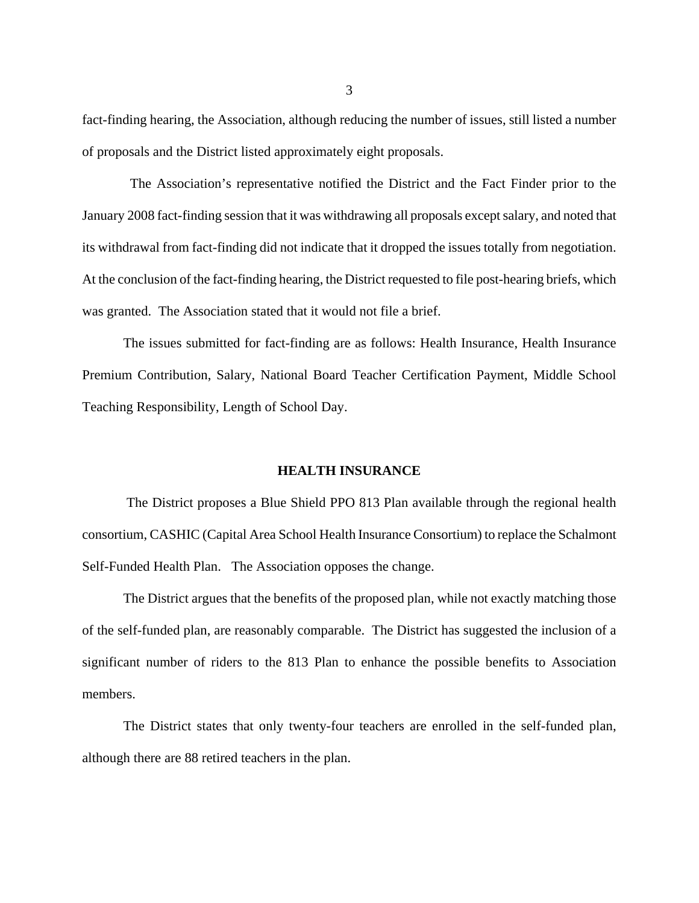fact-finding hearing, the Association, although reducing the number of issues, still listed a number of proposals and the District listed approximately eight proposals.

 The Association's representative notified the District and the Fact Finder prior to the January 2008 fact-finding session that it was withdrawing all proposals except salary, and noted that its withdrawal from fact-finding did not indicate that it dropped the issues totally from negotiation. At the conclusion of the fact-finding hearing, the District requested to file post-hearing briefs, which was granted. The Association stated that it would not file a brief.

The issues submitted for fact-finding are as follows: Health Insurance, Health Insurance Premium Contribution, Salary, National Board Teacher Certification Payment, Middle School Teaching Responsibility, Length of School Day.

### **HEALTH INSURANCE**

 The District proposes a Blue Shield PPO 813 Plan available through the regional health consortium, CASHIC (Capital Area School Health Insurance Consortium) to replace the Schalmont Self-Funded Health Plan. The Association opposes the change.

The District argues that the benefits of the proposed plan, while not exactly matching those of the self-funded plan, are reasonably comparable. The District has suggested the inclusion of a significant number of riders to the 813 Plan to enhance the possible benefits to Association members.

The District states that only twenty-four teachers are enrolled in the self-funded plan, although there are 88 retired teachers in the plan.

3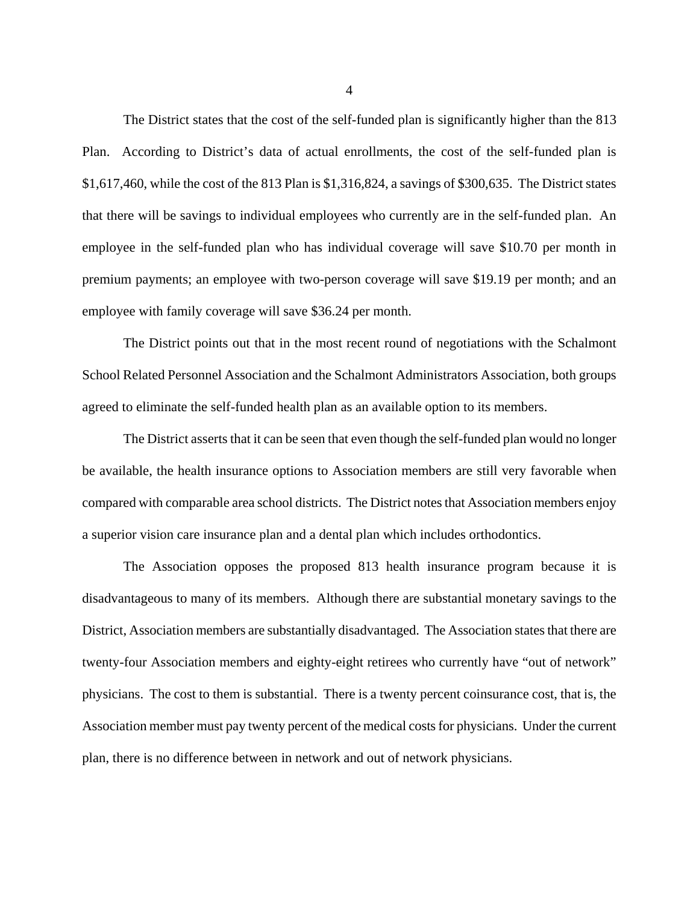The District states that the cost of the self-funded plan is significantly higher than the 813 Plan. According to District's data of actual enrollments, the cost of the self-funded plan is \$1,617,460, while the cost of the 813 Plan is \$1,316,824, a savings of \$300,635. The District states that there will be savings to individual employees who currently are in the self-funded plan. An employee in the self-funded plan who has individual coverage will save \$10.70 per month in premium payments; an employee with two-person coverage will save \$19.19 per month; and an employee with family coverage will save \$36.24 per month.

The District points out that in the most recent round of negotiations with the Schalmont School Related Personnel Association and the Schalmont Administrators Association, both groups agreed to eliminate the self-funded health plan as an available option to its members.

The District asserts that it can be seen that even though the self-funded plan would no longer be available, the health insurance options to Association members are still very favorable when compared with comparable area school districts. The District notes that Association members enjoy a superior vision care insurance plan and a dental plan which includes orthodontics.

The Association opposes the proposed 813 health insurance program because it is disadvantageous to many of its members. Although there are substantial monetary savings to the District, Association members are substantially disadvantaged. The Association states that there are twenty-four Association members and eighty-eight retirees who currently have "out of network" physicians. The cost to them is substantial. There is a twenty percent coinsurance cost, that is, the Association member must pay twenty percent of the medical costs for physicians. Under the current plan, there is no difference between in network and out of network physicians.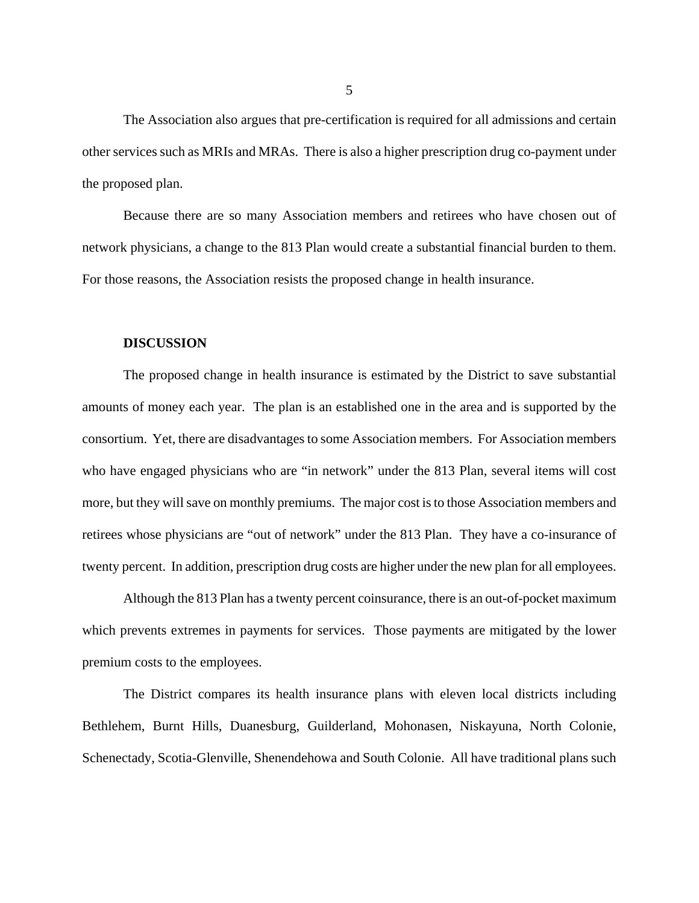The Association also argues that pre-certification is required for all admissions and certain other services such as MRIs and MRAs. There is also a higher prescription drug co-payment under the proposed plan.

Because there are so many Association members and retirees who have chosen out of network physicians, a change to the 813 Plan would create a substantial financial burden to them. For those reasons, the Association resists the proposed change in health insurance.

#### **DISCUSSION**

The proposed change in health insurance is estimated by the District to save substantial amounts of money each year. The plan is an established one in the area and is supported by the consortium. Yet, there are disadvantages to some Association members. For Association members who have engaged physicians who are "in network" under the 813 Plan, several items will cost more, but they will save on monthly premiums. The major cost is to those Association members and retirees whose physicians are "out of network" under the 813 Plan. They have a co-insurance of twenty percent. In addition, prescription drug costs are higher under the new plan for all employees.

Although the 813 Plan has a twenty percent coinsurance, there is an out-of-pocket maximum which prevents extremes in payments for services. Those payments are mitigated by the lower premium costs to the employees.

The District compares its health insurance plans with eleven local districts including Bethlehem, Burnt Hills, Duanesburg, Guilderland, Mohonasen, Niskayuna, North Colonie, Schenectady, Scotia-Glenville, Shenendehowa and South Colonie. All have traditional plans such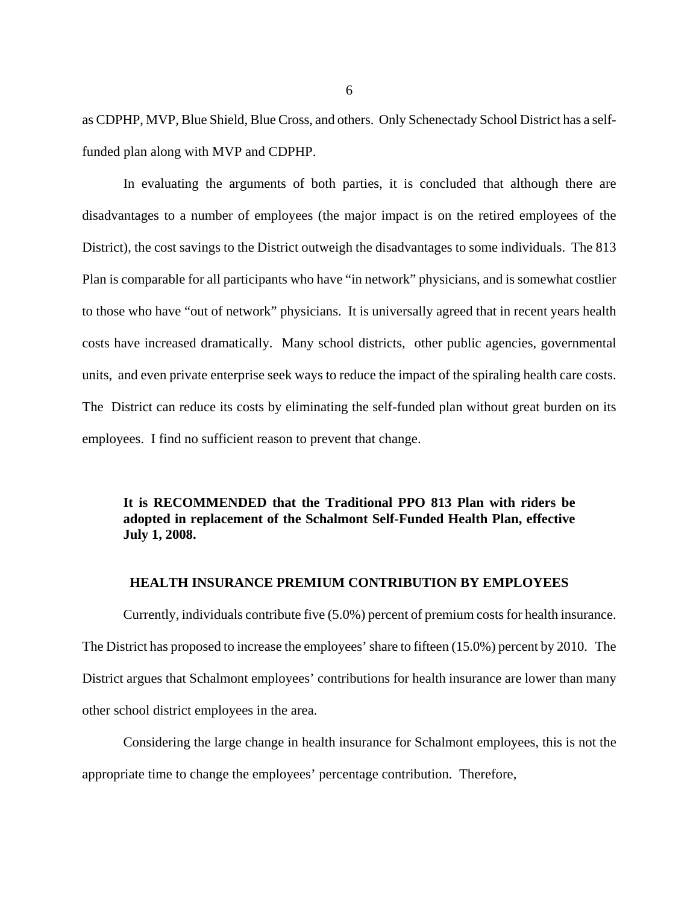as CDPHP, MVP, Blue Shield, Blue Cross, and others. Only Schenectady School District has a selffunded plan along with MVP and CDPHP.

In evaluating the arguments of both parties, it is concluded that although there are disadvantages to a number of employees (the major impact is on the retired employees of the District), the cost savings to the District outweigh the disadvantages to some individuals. The 813 Plan is comparable for all participants who have "in network" physicians, and is somewhat costlier to those who have "out of network" physicians. It is universally agreed that in recent years health costs have increased dramatically. Many school districts, other public agencies, governmental units, and even private enterprise seek ways to reduce the impact of the spiraling health care costs. The District can reduce its costs by eliminating the self-funded plan without great burden on its employees. I find no sufficient reason to prevent that change.

## **It is RECOMMENDED that the Traditional PPO 813 Plan with riders be adopted in replacement of the Schalmont Self-Funded Health Plan, effective July 1, 2008.**

## **HEALTH INSURANCE PREMIUM CONTRIBUTION BY EMPLOYEES**

Currently, individuals contribute five (5.0%) percent of premium costs for health insurance. The District has proposed to increase the employees' share to fifteen (15.0%) percent by 2010. The District argues that Schalmont employees' contributions for health insurance are lower than many other school district employees in the area.

Considering the large change in health insurance for Schalmont employees, this is not the appropriate time to change the employees' percentage contribution. Therefore,

6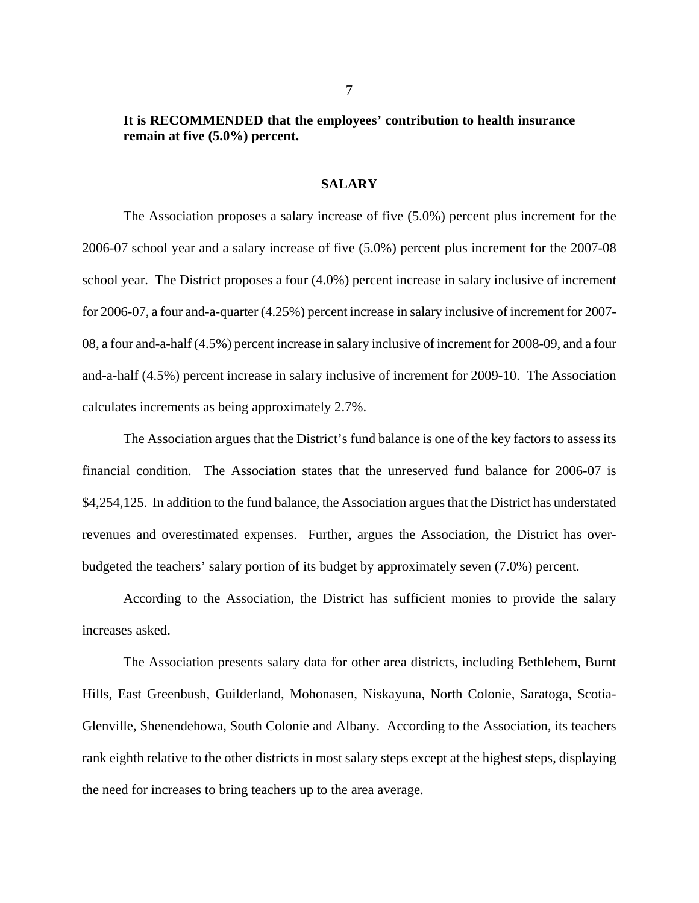## **It is RECOMMENDED that the employees' contribution to health insurance remain at five (5.0%) percent.**

### **SALARY**

The Association proposes a salary increase of five (5.0%) percent plus increment for the 2006-07 school year and a salary increase of five (5.0%) percent plus increment for the 2007-08 school year. The District proposes a four (4.0%) percent increase in salary inclusive of increment for 2006-07, a four and-a-quarter (4.25%) percent increase in salary inclusive of increment for 2007- 08, a four and-a-half (4.5%) percent increase in salary inclusive of increment for 2008-09, and a four and-a-half (4.5%) percent increase in salary inclusive of increment for 2009-10. The Association calculates increments as being approximately 2.7%.

The Association argues that the District's fund balance is one of the key factors to assess its financial condition. The Association states that the unreserved fund balance for 2006-07 is \$4,254,125. In addition to the fund balance, the Association argues that the District has understated revenues and overestimated expenses. Further, argues the Association, the District has overbudgeted the teachers' salary portion of its budget by approximately seven (7.0%) percent.

According to the Association, the District has sufficient monies to provide the salary increases asked.

The Association presents salary data for other area districts, including Bethlehem, Burnt Hills, East Greenbush, Guilderland, Mohonasen, Niskayuna, North Colonie, Saratoga, Scotia-Glenville, Shenendehowa, South Colonie and Albany. According to the Association, its teachers rank eighth relative to the other districts in most salary steps except at the highest steps, displaying the need for increases to bring teachers up to the area average.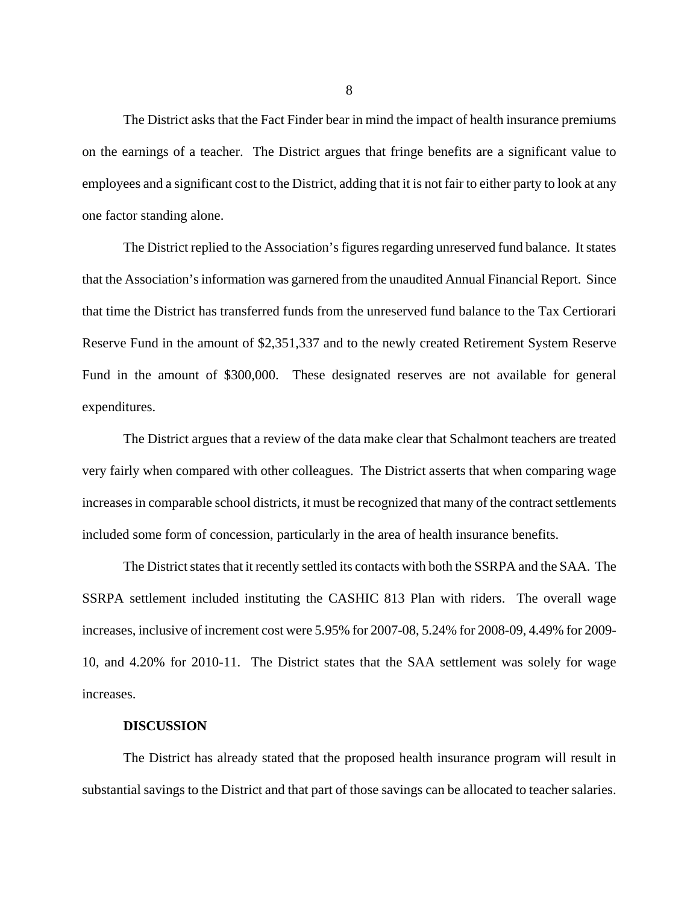The District asks that the Fact Finder bear in mind the impact of health insurance premiums on the earnings of a teacher. The District argues that fringe benefits are a significant value to employees and a significant cost to the District, adding that it is not fair to either party to look at any one factor standing alone.

The District replied to the Association's figures regarding unreserved fund balance. It states that the Association's information was garnered from the unaudited Annual Financial Report. Since that time the District has transferred funds from the unreserved fund balance to the Tax Certiorari Reserve Fund in the amount of \$2,351,337 and to the newly created Retirement System Reserve Fund in the amount of \$300,000. These designated reserves are not available for general expenditures.

The District argues that a review of the data make clear that Schalmont teachers are treated very fairly when compared with other colleagues. The District asserts that when comparing wage increases in comparable school districts, it must be recognized that many of the contract settlements included some form of concession, particularly in the area of health insurance benefits.

The District states that it recently settled its contacts with both the SSRPA and the SAA. The SSRPA settlement included instituting the CASHIC 813 Plan with riders. The overall wage increases, inclusive of increment cost were 5.95% for 2007-08, 5.24% for 2008-09, 4.49% for 2009- 10, and 4.20% for 2010-11. The District states that the SAA settlement was solely for wage increases.

#### **DISCUSSION**

The District has already stated that the proposed health insurance program will result in substantial savings to the District and that part of those savings can be allocated to teacher salaries.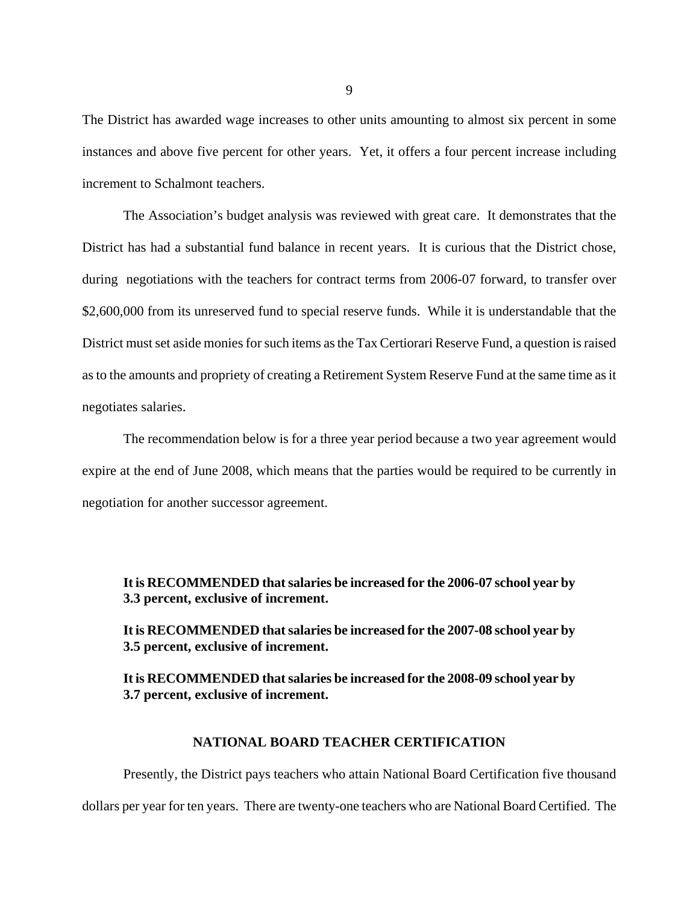The District has awarded wage increases to other units amounting to almost six percent in some instances and above five percent for other years. Yet, it offers a four percent increase including increment to Schalmont teachers.

The Association's budget analysis was reviewed with great care. It demonstrates that the District has had a substantial fund balance in recent years. It is curious that the District chose, during negotiations with the teachers for contract terms from 2006-07 forward, to transfer over \$2,600,000 from its unreserved fund to special reserve funds. While it is understandable that the District must set aside monies for such items as the Tax Certiorari Reserve Fund, a question is raised as to the amounts and propriety of creating a Retirement System Reserve Fund at the same time as it negotiates salaries.

The recommendation below is for a three year period because a two year agreement would expire at the end of June 2008, which means that the parties would be required to be currently in negotiation for another successor agreement.

## **It is RECOMMENDED that salaries be increased for the 2006-07 school year by 3.3 percent, exclusive of increment.**

**It is RECOMMENDED that salaries be increased for the 2007-08 school year by 3.5 percent, exclusive of increment.** 

**It is RECOMMENDED that salaries be increased for the 2008-09 school year by 3.7 percent, exclusive of increment.** 

## **NATIONAL BOARD TEACHER CERTIFICATION**

Presently, the District pays teachers who attain National Board Certification five thousand dollars per year for ten years. There are twenty-one teachers who are National Board Certified. The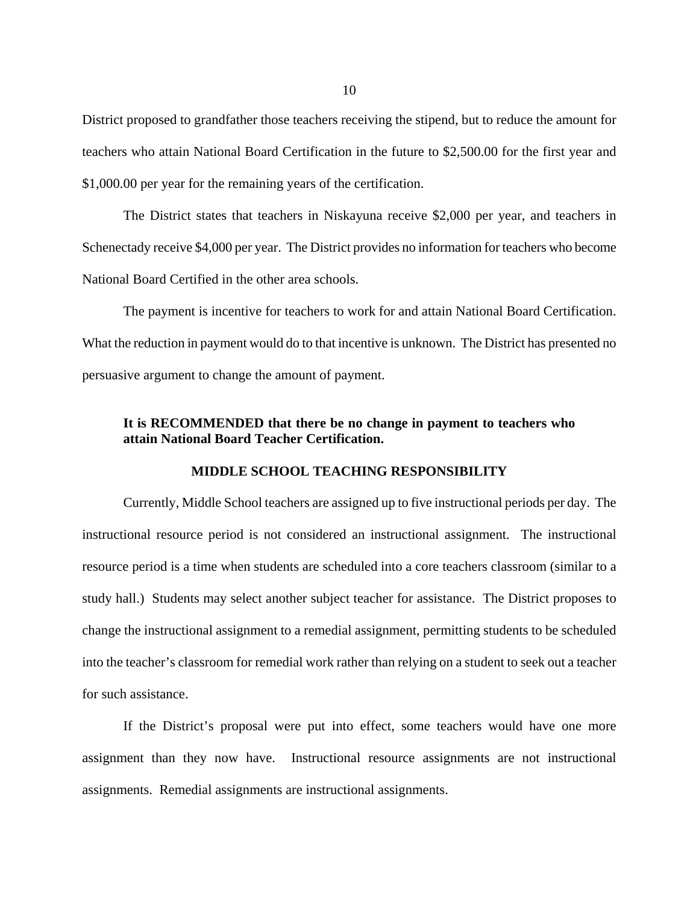District proposed to grandfather those teachers receiving the stipend, but to reduce the amount for teachers who attain National Board Certification in the future to \$2,500.00 for the first year and \$1,000.00 per year for the remaining years of the certification.

The District states that teachers in Niskayuna receive \$2,000 per year, and teachers in Schenectady receive \$4,000 per year. The District provides no information for teachers who become National Board Certified in the other area schools.

The payment is incentive for teachers to work for and attain National Board Certification. What the reduction in payment would do to that incentive is unknown. The District has presented no persuasive argument to change the amount of payment.

## **It is RECOMMENDED that there be no change in payment to teachers who attain National Board Teacher Certification.**

## **MIDDLE SCHOOL TEACHING RESPONSIBILITY**

Currently, Middle School teachers are assigned up to five instructional periods per day. The instructional resource period is not considered an instructional assignment. The instructional resource period is a time when students are scheduled into a core teachers classroom (similar to a study hall.) Students may select another subject teacher for assistance. The District proposes to change the instructional assignment to a remedial assignment, permitting students to be scheduled into the teacher's classroom for remedial work rather than relying on a student to seek out a teacher for such assistance.

If the District's proposal were put into effect, some teachers would have one more assignment than they now have. Instructional resource assignments are not instructional assignments. Remedial assignments are instructional assignments.